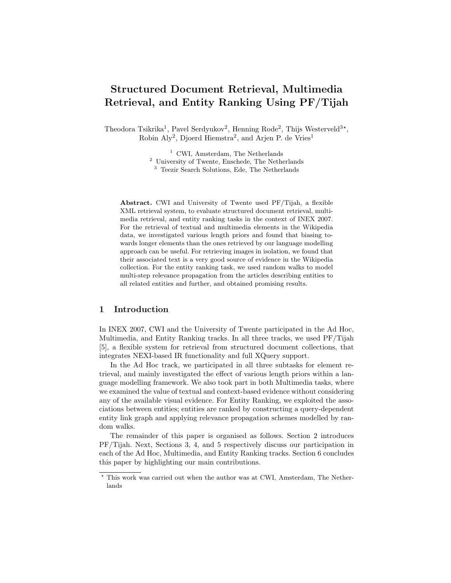# Structured Document Retrieval, Multimedia Retrieval, and Entity Ranking Using PF/Tijah

Theodora Tsikrika<sup>1</sup>, Pavel Serdyukov<sup>2</sup>, Henning Rode<sup>2</sup>, Thijs Westerveld<sup>3\*</sup>, Robin  $\text{Aly}^2$ , Djoerd Hiemstra<sup>2</sup>, and Arjen P. de Vries<sup>1</sup>

<sup>1</sup> CWI, Amsterdam, The Netherlands

<sup>2</sup> University of Twente, Enschede, The Netherlands

<sup>3</sup> Teezir Search Solutions, Ede, The Netherlands

Abstract. CWI and University of Twente used PF/Tijah, a flexible XML retrieval system, to evaluate structured document retrieval, multimedia retrieval, and entity ranking tasks in the context of INEX 2007. For the retrieval of textual and multimedia elements in the Wikipedia data, we investigated various length priors and found that biasing towards longer elements than the ones retrieved by our language modelling approach can be useful. For retrieving images in isolation, we found that their associated text is a very good source of evidence in the Wikipedia collection. For the entity ranking task, we used random walks to model multi-step relevance propagation from the articles describing entities to all related entities and further, and obtained promising results.

### 1 Introduction

In INEX 2007, CWI and the University of Twente participated in the Ad Hoc, Multimedia, and Entity Ranking tracks. In all three tracks, we used PF/Tijah [5], a flexible system for retrieval from structured document collections, that integrates NEXI-based IR functionality and full XQuery support.

In the Ad Hoc track, we participated in all three subtasks for element retrieval, and mainly investigated the effect of various length priors within a language modelling framework. We also took part in both Multimedia tasks, where we examined the value of textual and context-based evidence without considering any of the available visual evidence. For Entity Ranking, we exploited the associations between entities; entities are ranked by constructing a query-dependent entity link graph and applying relevance propagation schemes modelled by random walks.

The remainder of this paper is organised as follows. Section 2 introduces PF/Tijah. Next, Sections 3, 4, and 5 respectively discuss our participation in each of the Ad Hoc, Multimedia, and Entity Ranking tracks. Section 6 concludes this paper by highlighting our main contributions.

<sup>?</sup> This work was carried out when the author was at CWI, Amsterdam, The Netherlands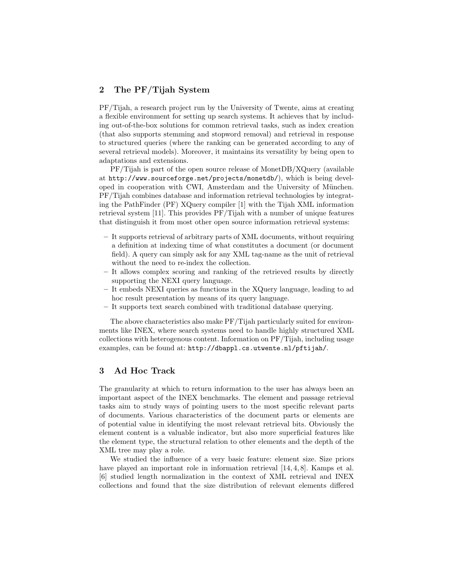### 2 The PF/Tijah System

PF/Tijah, a research project run by the University of Twente, aims at creating a flexible environment for setting up search systems. It achieves that by including out-of-the-box solutions for common retrieval tasks, such as index creation (that also supports stemming and stopword removal) and retrieval in response to structured queries (where the ranking can be generated according to any of several retrieval models). Moreover, it maintains its versatility by being open to adaptations and extensions.

PF/Tijah is part of the open source release of MonetDB/XQuery (available at http://www.sourceforge.net/projects/monetdb/), which is being developed in cooperation with CWI, Amsterdam and the University of München. PF/Tijah combines database and information retrieval technologies by integrating the PathFinder (PF) XQuery compiler [1] with the Tijah XML information retrieval system [11]. This provides PF/Tijah with a number of unique features that distinguish it from most other open source information retrieval systems:

- It supports retrieval of arbitrary parts of XML documents, without requiring a definition at indexing time of what constitutes a document (or document field). A query can simply ask for any XML tag-name as the unit of retrieval without the need to re-index the collection.
- It allows complex scoring and ranking of the retrieved results by directly supporting the NEXI query language.
- It embeds NEXI queries as functions in the XQuery language, leading to ad hoc result presentation by means of its query language.
- It supports text search combined with traditional database querying.

The above characteristics also make PF/Tijah particularly suited for environments like INEX, where search systems need to handle highly structured XML collections with heterogenous content. Information on PF/Tijah, including usage examples, can be found at: http://dbappl.cs.utwente.nl/pftijah/.

### 3 Ad Hoc Track

The granularity at which to return information to the user has always been an important aspect of the INEX benchmarks. The element and passage retrieval tasks aim to study ways of pointing users to the most specific relevant parts of documents. Various characteristics of the document parts or elements are of potential value in identifying the most relevant retrieval bits. Obviously the element content is a valuable indicator, but also more superficial features like the element type, the structural relation to other elements and the depth of the XML tree may play a role.

We studied the influence of a very basic feature: element size. Size priors have played an important role in information retrieval [14, 4, 8]. Kamps et al. [6] studied length normalization in the context of XML retrieval and INEX collections and found that the size distribution of relevant elements differed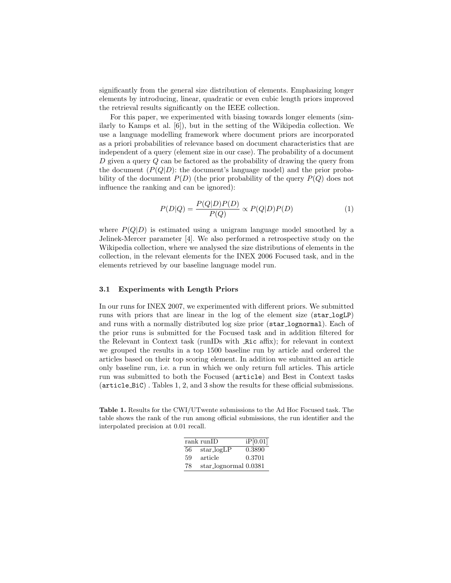significantly from the general size distribution of elements. Emphasizing longer elements by introducing, linear, quadratic or even cubic length priors improved the retrieval results significantly on the IEEE collection.

For this paper, we experimented with biasing towards longer elements (similarly to Kamps et al. [6]), but in the setting of the Wikipedia collection. We use a language modelling framework where document priors are incorporated as a priori probabilities of relevance based on document characteristics that are independent of a query (element size in our case). The probability of a document D given a query Q can be factored as the probability of drawing the query from the document  $(P(Q|D))$ : the document's language model) and the prior probability of the document  $P(D)$  (the prior probability of the query  $P(Q)$  does not influence the ranking and can be ignored):

$$
P(D|Q) = \frac{P(Q|D)P(D)}{P(Q)} \propto P(Q|D)P(D)
$$
\n(1)

where  $P(Q|D)$  is estimated using a unigram language model smoothed by a Jelinek-Mercer parameter [4]. We also performed a retrospective study on the Wikipedia collection, where we analysed the size distributions of elements in the collection, in the relevant elements for the INEX 2006 Focused task, and in the elements retrieved by our baseline language model run.

### 3.1 Experiments with Length Priors

In our runs for INEX 2007, we experimented with different priors. We submitted runs with priors that are linear in the log of the element size (star\_logLP) and runs with a normally distributed log size prior (star lognormal). Each of the prior runs is submitted for the Focused task and in addition filtered for the Relevant in Context task (runIDs with Ric affix); for relevant in context we grouped the results in a top 1500 baseline run by article and ordered the articles based on their top scoring element. In addition we submitted an article only baseline run, i.e. a run in which we only return full articles. This article run was submitted to both the Focused (article) and Best in Context tasks (article BiC) . Tables 1, 2, and 3 show the results for these official submissions.

Table 1. Results for the CWI/UTwente submissions to the Ad Hoc Focused task. The table shows the rank of the run among official submissions, the run identifier and the interpolated precision at 0.01 recall.

|    | rank runID            | iP[0.01] |
|----|-----------------------|----------|
| 56 | star_logLP            | 0.3890   |
| 59 | article               | 0.3701   |
| 78 | star_lognormal 0.0381 |          |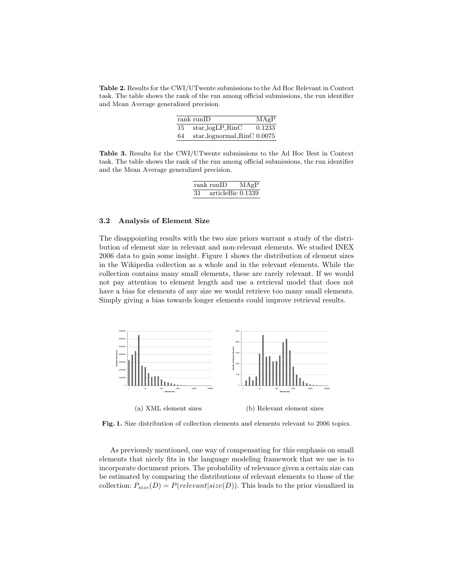Table 2. Results for the CWI/UTwente submissions to the Ad Hoc Relevant in Context task. The table shows the rank of the run among official submissions, the run identifier and Mean Average generalized precision.

|    | rank runID                     | MAgP   |
|----|--------------------------------|--------|
| 15 | $star\_{logLP_R}$              | 0.1233 |
| 64 | $star\$ ognormal_RinC $0.0075$ |        |

Table 3. Results for the CWI/UTwente submissions to the Ad Hoc Best in Context task. The table shows the rank of the run among official submissions, the run identifier and the Mean Average generalized precision.

|    | rank runID        | MAgP |
|----|-------------------|------|
| 31 | articleBic 0.1339 |      |

#### 3.2 Analysis of Element Size

The disappointing results with the two size priors warrant a study of the distribution of element size in relevant and non-relevant elements. We studied INEX 2006 data to gain some insight. Figure 1 shows the distribution of element sizes in the Wikipedia collection as a whole and in the relevant elements. While the collection contains many small elements, these are rarely relevant. If we would not pay attention to element length and use a retrieval model that does not have a bias for elements of any size we would retrieve too many small elements. Simply giving a bias towards longer elements could improve retrieval results.



Fig. 1. Size distribution of collection elements and elements relevant to 2006 topics.

As previously mentioned, one way of compensating for this emphasis on small elements that nicely fits in the language modeling framework that we use is to incorporate document priors. The probability of relevance given a certain size can be estimated by comparing the distributions of relevant elements to those of the collection:  $P_{size}(D) = P(relevant|size(D))$ . This leads to the prior visualized in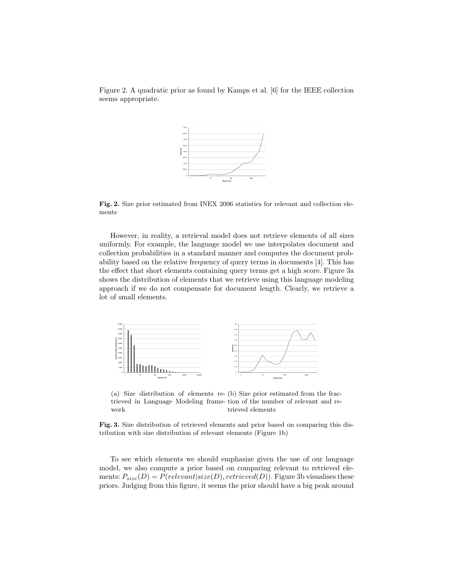Figure 2. A quadratic prior as found by Kamps et al. [6] for the IEEE collection seems appropriate.



Fig. 2. Size prior estimated from INEX 2006 statistics for relevant and collection elements

However, in reality, a retrieval model does not retrieve elements of all sizes uniformly. For example, the language model we use interpolates document and collection probabilities in a standard manner and computes the document probability based on the relative frequency of query terms in documents [4]. This has the effect that short elements containing query terms get a high score. Figure 3a shows the distribution of elements that we retrieve using this language modeling approach if we do not compensate for document length. Clearly, we retrieve a lot of small elements.



(a) Size distribution of elements re-(b) Size prior estimated from the fractrieved in Language Modeling frame-tion of the number of relevant and rework trieved elements

Fig. 3. Size distribution of retrieved elements and prior based on comparing this distribution with size distribution of relevant elements (Figure 1b)

To see which elements we should emphasize given the use of our language model, we also compute a prior based on comparing relevant to retrieved elements:  $P_{size}(D) = P(relevant|size(D), retrieved(D)).$  Figure 3b visualises these priors. Judging from this figure, it seems the prior should have a big peak around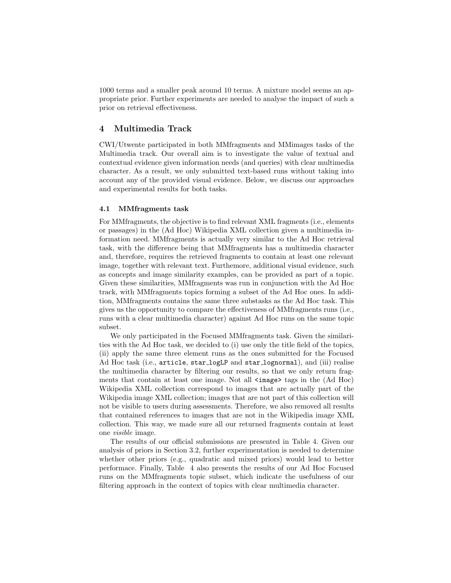1000 terms and a smaller peak around 10 terms. A mixture model seems an appropriate prior. Further experiments are needed to analyse the impact of such a prior on retrieval effectiveness.

### 4 Multimedia Track

CWI/Utwente participated in both MMfragments and MMimages tasks of the Multimedia track. Our overall aim is to investigate the value of textual and contextual evidence given information needs (and queries) with clear multimedia character. As a result, we only submitted text-based runs without taking into account any of the provided visual evidence. Below, we discuss our approaches and experimental results for both tasks.

#### 4.1 MMfragments task

For MMfragments, the objective is to find relevant XML fragments (i.e., elements or passages) in the (Ad Hoc) Wikipedia XML collection given a multimedia information need. MMfragments is actually very similar to the Ad Hoc retrieval task, with the difference being that MMfragments has a multimedia character and, therefore, requires the retrieved fragments to contain at least one relevant image, together with relevant text. Furthemore, additional visual evidence, such as concepts and image similarity examples, can be provided as part of a topic. Given these similarities, MMfragments was run in conjunction with the Ad Hoc track, with MMfragments topics forming a subset of the Ad Hoc ones. In addition, MMfragments contains the same three substasks as the Ad Hoc task. This gives us the opportunity to compare the effectiveness of MMfragments runs (i.e., runs with a clear multimedia character) against Ad Hoc runs on the same topic subset.

We only participated in the Focused MMfragments task. Given the similarities with the Ad Hoc task, we decided to (i) use only the title field of the topics, (ii) apply the same three element runs as the ones submitted for the Focused Ad Hoc task (i.e., article, star\_logLP and star\_lognormal), and (iii) realise the multimedia character by filtering our results, so that we only return fragments that contain at least one image. Not all  $\langle \text{image} \rangle$  tags in the (Ad Hoc) Wikipedia XML collection correspond to images that are actually part of the Wikipedia image XML collection; images that are not part of this collection will not be visible to users during assessments. Therefore, we also removed all results that contained references to images that are not in the Wikipedia image XML collection. This way, we made sure all our returned fragments contain at least one visible image.

The results of our official submissions are presented in Table 4. Given our analysis of priors in Section 3.2, further experimentation is needed to determine whether other priors (e.g., quadratic and mixed priors) would lead to better performace. Finally, Table 4 also presents the results of our Ad Hoc Focused runs on the MMfragments topic subset, which indicate the usefulness of our filtering approach in the context of topics with clear multimedia character.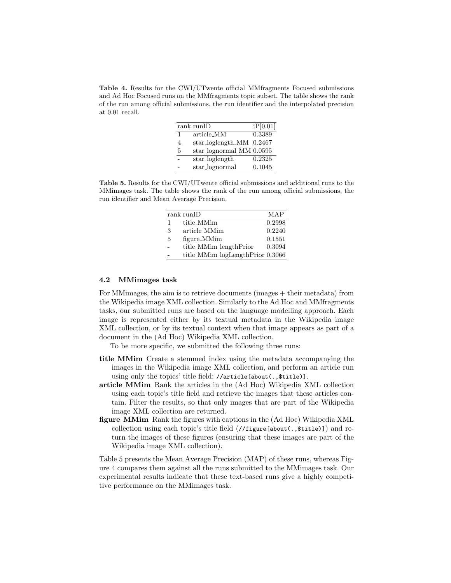Table 4. Results for the CWI/UTwente official MMfragments Focused submissions and Ad Hoc Focused runs on the MMfragments topic subset. The table shows the rank of the run among official submissions, the run identifier and the interpolated precision at 0.01 recall.

|   | rank runID                  | iP[0.01] |
|---|-----------------------------|----------|
| 1 | article_MM                  | 0.3389   |
| 4 | $star\$ loglength_MM 0.2467 |          |
| 5 | star_lognormal_MM 0.0595    |          |
|   | star_loglength              | 0.2325   |
|   | star_lognormal              | 0.1045   |

Table 5. Results for the CWI/UTwente official submissions and additional runs to the MMimages task. The table shows the rank of the run among official submissions, the run identifier and Mean Average Precision.

|   | rank runID                       | MAP    |
|---|----------------------------------|--------|
| 1 | title_MMim                       | 0.2998 |
| 3 | article_MMim                     | 0.2240 |
| 5 | figure_MMim                      | 0.1551 |
|   | title_MMim_lengthPrior           | 0.3094 |
|   | title_MMim_logLengthPrior 0.3066 |        |

#### 4.2 MMimages task

For MMimages, the aim is to retrieve documents (images + their metadata) from the Wikipedia image XML collection. Similarly to the Ad Hoc and MMfragments tasks, our submitted runs are based on the language modelling approach. Each image is represented either by its textual metadata in the Wikipedia image XML collection, or by its textual context when that image appears as part of a document in the (Ad Hoc) Wikipedia XML collection.

To be more specific, we submitted the following three runs:

- title MMim Create a stemmed index using the metadata accompanying the images in the Wikipedia image XML collection, and perform an article run using only the topics' title field: //article[about(.,\$title)].
- article MMim Rank the articles in the (Ad Hoc) Wikipedia XML collection using each topic's title field and retrieve the images that these articles contain. Filter the results, so that only images that are part of the Wikipedia image XML collection are returned.
- figure MMim Rank the figures with captions in the (Ad Hoc) Wikipedia XML collection using each topic's title field (//figure[about(.,\$title)]) and return the images of these figures (ensuring that these images are part of the Wikipedia image XML collection).

Table 5 presents the Mean Average Precision (MAP) of these runs, whereas Figure 4 compares them against all the runs submitted to the MMimages task. Our experimental results indicate that these text-based runs give a highly competitive performance on the MMimages task.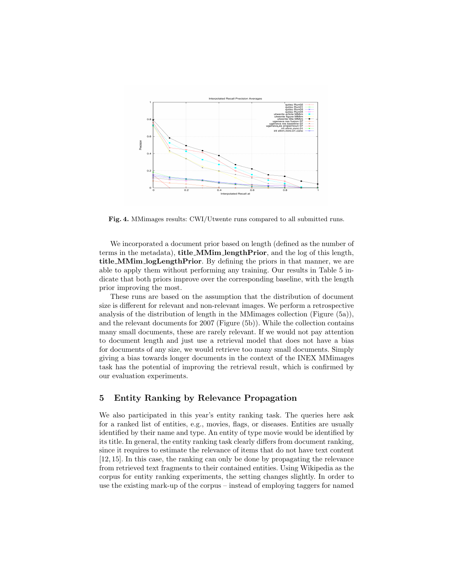

Fig. 4. MMimages results: CWI/Utwente runs compared to all submitted runs.

We incorporated a document prior based on length (defined as the number of terms in the metadata), title MMim lengthPrior, and the log of this length, title MMim logLengthPrior. By defining the priors in that manner, we are able to apply them without performing any training. Our results in Table 5 indicate that both priors improve over the corresponding baseline, with the length prior improving the most.

These runs are based on the assumption that the distribution of document size is different for relevant and non-relevant images. We perform a retrospective analysis of the distribution of length in the MMimages collection (Figure (5a)), and the relevant documents for 2007 (Figure (5b)). While the collection contains many small documents, these are rarely relevant. If we would not pay attention to document length and just use a retrieval model that does not have a bias for documents of any size, we would retrieve too many small documents. Simply giving a bias towards longer documents in the context of the INEX MMimages task has the potential of improving the retrieval result, which is confirmed by our evaluation experiments.

### 5 Entity Ranking by Relevance Propagation

We also participated in this year's entity ranking task. The queries here ask for a ranked list of entities, e.g., movies, flags, or diseases. Entities are usually identified by their name and type. An entity of type movie would be identified by its title. In general, the entity ranking task clearly differs from document ranking, since it requires to estimate the relevance of items that do not have text content [12, 15]. In this case, the ranking can only be done by propagating the relevance from retrieved text fragments to their contained entities. Using Wikipedia as the corpus for entity ranking experiments, the setting changes slightly. In order to use the existing mark-up of the corpus – instead of employing taggers for named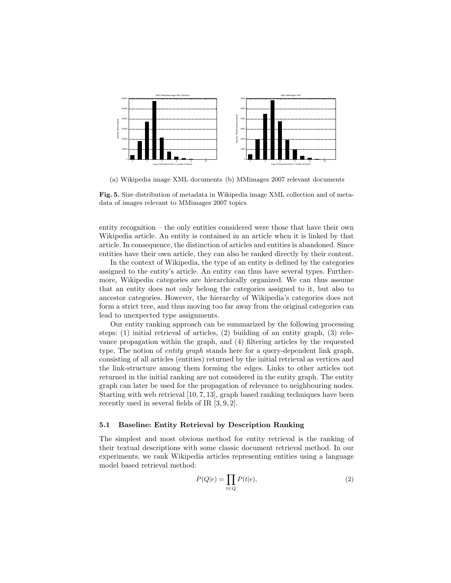

(a) Wikipedia image XML documents (b) MMimages 2007 relevant documents

Fig. 5. Size distribution of metadata in Wikipedia image XML collection and of metadata of images relevant to MMimages 2007 topics

entity recognition – the only entities considered were those that have their own Wikipedia article. An entity is contained in an article when it is linked by that article. In consequence, the distinction of articles and entities is abandoned. Since entities have their own article, they can also be ranked directly by their content.

In the context of Wikipedia, the type of an entity is defined by the categories assigned to the entity's article. An entity can thus have several types. Furthermore, Wikipedia categories are hierarchically organized. We can thus assume that an entity does not only belong the categories assigned to it, but also to ancestor categories. However, the hierarchy of Wikipedia's categories does not form a strict tree, and thus moving too far away from the original categories can lead to unexpected type assignments.

Our entity ranking approach can be summarized by the following processing steps: (1) initial retrieval of articles, (2) building of an entity graph, (3) relevance propagation within the graph, and (4) filtering articles by the requested type. The notion of *entity graph* stands here for a query-dependent link graph, consisting of all articles (entities) returned by the initial retrieval as vertices and the link-structure among them forming the edges. Links to other articles not returned in the initial ranking are not considered in the entity graph. The entity graph can later be used for the propagation of relevance to neighbouring nodes. Starting with web retrieval  $[10, 7, 13]$ , graph based ranking techniques have been recently used in several fields of IR [3, 9, 2].

### 5.1 Baseline: Entity Retrieval by Description Ranking

The simplest and most obvious method for entity retrieval is the ranking of their textual descriptions with some classic document retrieval method. In our experiments, we rank Wikipedia articles representing entities using a language model based retrieval method:

$$
P(Q|e) = \prod_{t \in Q} P(t|e),\tag{2}
$$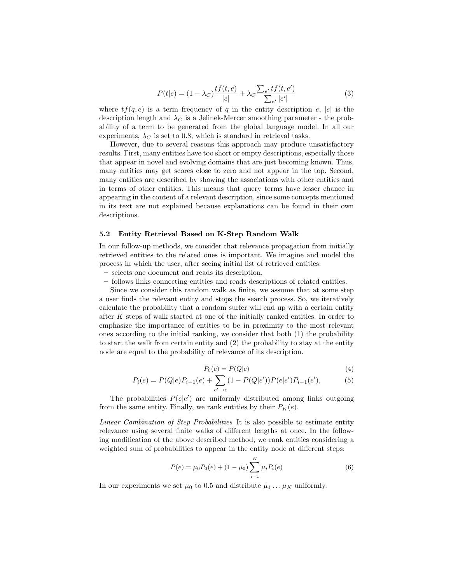$$
P(t|e) = (1 - \lambda_C) \frac{tf(t, e)}{|e|} + \lambda_C \frac{\sum_{e'} tf(t, e')}{\sum_{e'} |e'|}
$$
 (3)

where  $tf(q, e)$  is a term frequency of q in the entity description e, |e| is the description length and  $\lambda_C$  is a Jelinek-Mercer smoothing parameter - the probability of a term to be generated from the global language model. In all our experiments,  $\lambda_C$  is set to 0.8, which is standard in retrieval tasks.

However, due to several reasons this approach may produce unsatisfactory results. First, many entities have too short or empty descriptions, especially those that appear in novel and evolving domains that are just becoming known. Thus, many entities may get scores close to zero and not appear in the top. Second, many entities are described by showing the associations with other entities and in terms of other entities. This means that query terms have lesser chance in appearing in the content of a relevant description, since some concepts mentioned in its text are not explained because explanations can be found in their own descriptions.

#### 5.2 Entity Retrieval Based on K-Step Random Walk

In our follow-up methods, we consider that relevance propagation from initially retrieved entities to the related ones is important. We imagine and model the process in which the user, after seeing initial list of retrieved entities:

- selects one document and reads its description,
- follows links connecting entities and reads descriptions of related entities.

Since we consider this random walk as finite, we assume that at some step a user finds the relevant entity and stops the search process. So, we iteratively calculate the probability that a random surfer will end up with a certain entity after K steps of walk started at one of the initially ranked entities. In order to emphasize the importance of entities to be in proximity to the most relevant ones according to the initial ranking, we consider that both (1) the probability to start the walk from certain entity and (2) the probability to stay at the entity node are equal to the probability of relevance of its description.

$$
P_0(e) = P(Q|e) \tag{4}
$$

$$
P_i(e) = P(Q|e)P_{i-1}(e) + \sum_{e' \to e} (1 - P(Q|e'))P(e|e')P_{i-1}(e'),\tag{5}
$$

The probabilities  $P(e|e')$  are uniformly distributed among links outgoing from the same entity. Finally, we rank entities by their  $P_K(e)$ .

Linear Combination of Step Probabilities It is also possible to estimate entity relevance using several finite walks of different lengths at once. In the following modification of the above described method, we rank entities considering a weighted sum of probabilities to appear in the entity node at different steps:

$$
P(e) = \mu_0 P_0(e) + (1 - \mu_0) \sum_{i=1}^{K} \mu_i P_i(e)
$$
\n(6)

In our experiments we set  $\mu_0$  to 0.5 and distribute  $\mu_1 \dots \mu_K$  uniformly.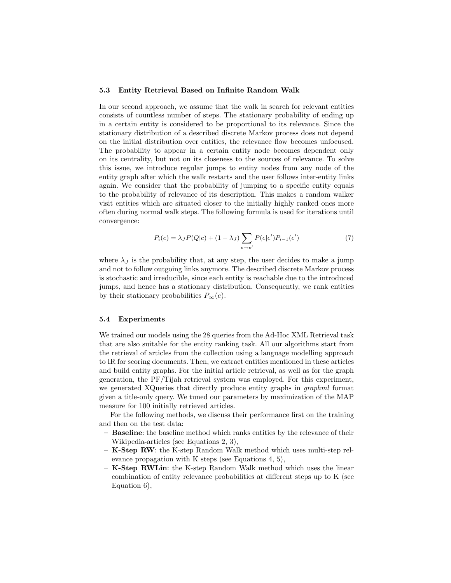#### 5.3 Entity Retrieval Based on Infinite Random Walk

In our second approach, we assume that the walk in search for relevant entities consists of countless number of steps. The stationary probability of ending up in a certain entity is considered to be proportional to its relevance. Since the stationary distribution of a described discrete Markov process does not depend on the initial distribution over entities, the relevance flow becomes unfocused. The probability to appear in a certain entity node becomes dependent only on its centrality, but not on its closeness to the sources of relevance. To solve this issue, we introduce regular jumps to entity nodes from any node of the entity graph after which the walk restarts and the user follows inter-entity links again. We consider that the probability of jumping to a specific entity equals to the probability of relevance of its description. This makes a random walker visit entities which are situated closer to the initially highly ranked ones more often during normal walk steps. The following formula is used for iterations until convergence:

$$
P_i(e) = \lambda_J P(Q|e) + (1 - \lambda_J) \sum_{e \to e'} P(e|e') P_{i-1}(e')
$$
 (7)

where  $\lambda_J$  is the probability that, at any step, the user decides to make a jump and not to follow outgoing links anymore. The described discrete Markov process is stochastic and irreducible, since each entity is reachable due to the introduced jumps, and hence has a stationary distribution. Consequently, we rank entities by their stationary probabilities  $P_{\infty}(e)$ .

#### 5.4 Experiments

We trained our models using the 28 queries from the Ad-Hoc XML Retrieval task that are also suitable for the entity ranking task. All our algorithms start from the retrieval of articles from the collection using a language modelling approach to IR for scoring documents. Then, we extract entities mentioned in these articles and build entity graphs. For the initial article retrieval, as well as for the graph generation, the PF/Tijah retrieval system was employed. For this experiment, we generated XQueries that directly produce entity graphs in graphml format given a title-only query. We tuned our parameters by maximization of the MAP measure for 100 initially retrieved articles.

For the following methods, we discuss their performance first on the training and then on the test data:

- Baseline: the baseline method which ranks entities by the relevance of their Wikipedia-articles (see Equations 2, 3),
- K-Step RW: the K-step Random Walk method which uses multi-step relevance propagation with K steps (see Equations 4, 5),
- K-Step RWLin: the K-step Random Walk method which uses the linear combination of entity relevance probabilities at different steps up to K (see Equation 6),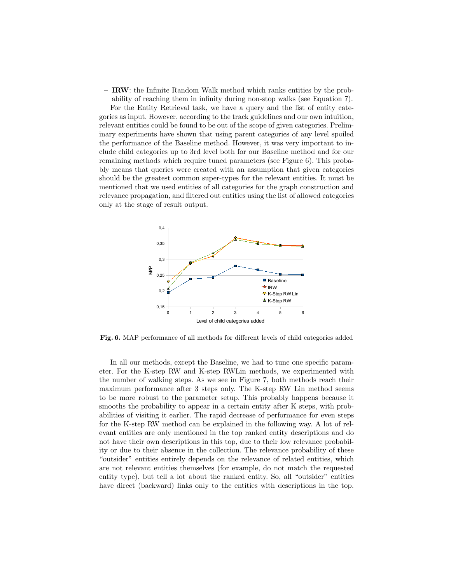- IRW: the Infinite Random Walk method which ranks entities by the probability of reaching them in infinity during non-stop walks (see Equation 7).

For the Entity Retrieval task, we have a query and the list of entity categories as input. However, according to the track guidelines and our own intuition, relevant entities could be found to be out of the scope of given categories. Preliminary experiments have shown that using parent categories of any level spoiled the performance of the Baseline method. However, it was very important to include child categories up to 3rd level both for our Baseline method and for our remaining methods which require tuned parameters (see Figure 6). This probably means that queries were created with an assumption that given categories should be the greatest common super-types for the relevant entities. It must be mentioned that we used entities of all categories for the graph construction and relevance propagation, and filtered out entities using the list of allowed categories only at the stage of result output.  $\mathbb{F}$ 



Fig. 6. MAP performance of all methods for different levels of child categories added

In all our methods, except the Baseline, we had to tune one specific parameter. For the K-step RW and K-step RWLin methods, we experimented with the number of walking steps. As we see in Figure 7, both methods reach their maximum performance after 3 steps only. The K-step RW Lin method seems to be more robust to the parameter setup. This probably happens because it smooths the probability to appear in a certain entity after K steps, with probabilities of visiting it earlier. The rapid decrease of performance for even steps for the K-step RW method can be explained in the following way. A lot of relevant entities are only mentioned in the top ranked entity descriptions and do not have their own descriptions in this top, due to their low relevance probability or due to their absence in the collection. The relevance probability of these "outsider" entities entirely depends on the relevance of related entities, which are not relevant entities themselves (for example, do not match the requested entity type), but tell a lot about the ranked entity. So, all "outsider" entities have direct (backward) links only to the entities with descriptions in the top.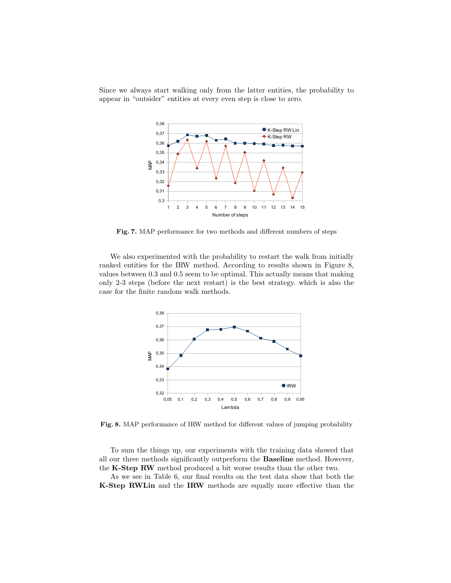Since we always start walking only from the latter entities, the probability to appear in "outsider" entities at every even step is close to zero.



Fig. 7. MAP performance for two methods and different numbers of steps

case for the finite random walk methods. only 2-3 steps (before the next restart) is the best strategy. which is also the ranked entities for the IRW method. According to results shown in Figure 8, We also experimented with the probability to restart the walk from initially values between  $0.3$  and  $0.5$  seem to be optimal. This actually means that making



rance or new memor for unicrem values or jum Fig. 8. MAP performance of IRW method for different values of jumping probability

the K-Step RW method produced a bit worse results than the other two. all our three methods significantly outperform the **Baseline** method. However, To sum the things up, our experiments with the training data showed that

and the IRW methods are equally  $\mathbf p$ As we see in Table 6, our final results on the test data show that both the K-Step RWLin and the IRW methods are equally more effective than the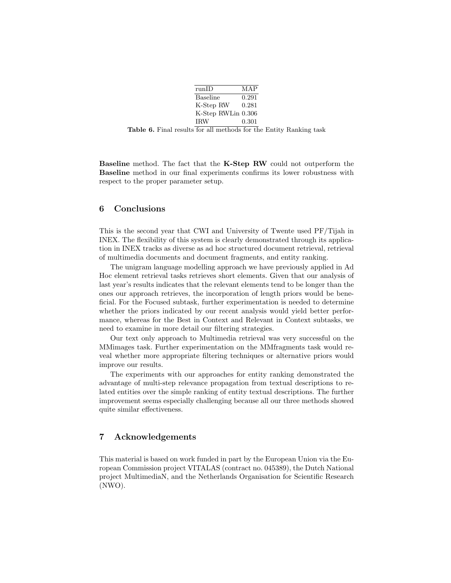| runID              | MAP   |
|--------------------|-------|
| <b>Baseline</b>    | 0.291 |
| K-Step RW          | 0.281 |
| K-Step RWLin 0.306 |       |
| <b>IRW</b>         | 0.301 |

Table 6. Final results for all methods for the Entity Ranking task

Baseline method. The fact that the K-Step RW could not outperform the Baseline method in our final experiments confirms its lower robustness with respect to the proper parameter setup.

### 6 Conclusions

This is the second year that CWI and University of Twente used PF/Tijah in INEX. The flexibility of this system is clearly demonstrated through its application in INEX tracks as diverse as ad hoc structured document retrieval, retrieval of multimedia documents and document fragments, and entity ranking.

The unigram language modelling approach we have previously applied in Ad Hoc element retrieval tasks retrieves short elements. Given that our analysis of last year's results indicates that the relevant elements tend to be longer than the ones our approach retrieves, the incorporation of length priors would be beneficial. For the Focused subtask, further experimentation is needed to determine whether the priors indicated by our recent analysis would yield better performance, whereas for the Best in Context and Relevant in Context subtasks, we need to examine in more detail our filtering strategies.

Our text only approach to Multimedia retrieval was very successful on the MMimages task. Further experimentation on the MMfragments task would reveal whether more appropriate filtering techniques or alternative priors would improve our results.

The experiments with our approaches for entity ranking demonstrated the advantage of multi-step relevance propagation from textual descriptions to related entities over the simple ranking of entity textual descriptions. The further improvement seems especially challenging because all our three methods showed quite similar effectiveness.

## 7 Acknowledgements

This material is based on work funded in part by the European Union via the European Commission project VITALAS (contract no. 045389), the Dutch National project MultimediaN, and the Netherlands Organisation for Scientific Research (NWO).